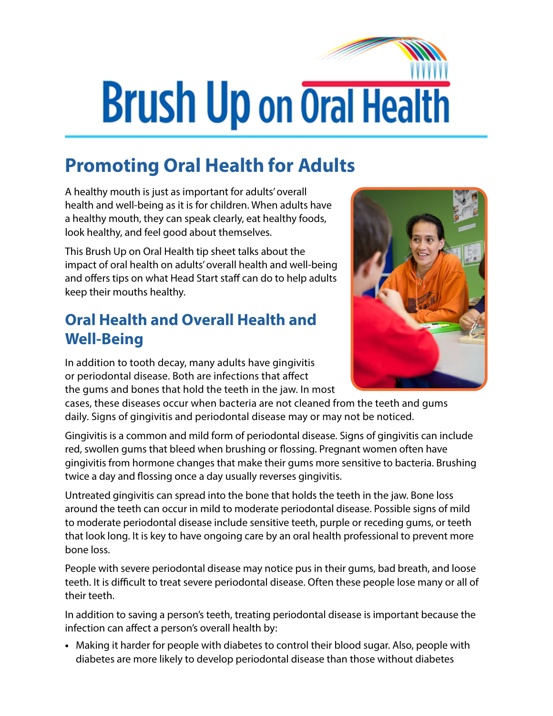## **Brush Up on Oral Health**

## **Promoting Oral Health for Adults**

A healthy mouth is just as important for adults' overall health and well-being as it is for children. When adults have a healthy mouth, they can speak clearly, eat healthy foods, look healthy, and feel good about themselves.

This Brush Up on Oral Health tip sheet talks about the impact of oral health on adults' overall health and well-being and offers tips on what Head Start staff can do to help adults keep their mouths healthy.

## **Oral Health and Overall Health and Well-Being**

In addition to tooth decay, many adults have gingivitis or periodontal disease. Both are infections that affect the gums and bones that hold the teeth in the jaw. In most



Gingivitis is a common and mild form of periodontal disease. Signs of gingivitis can include red, swollen gums that bleed when brushing or flossing. Pregnant women often have gingivitis from hormone changes that make their gums more sensitive to bacteria. Brushing twice a day and flossing once a day usually reverses gingivitis.

Untreated gingivitis can spread into the bone that holds the teeth in the jaw. Bone loss around the teeth can occur in mild to moderate periodontal disease. Possible signs of mild to moderate periodontal disease include sensitive teeth, purple or receding gums, or teeth that look long. It is key to have ongoing care by an oral health professional to prevent more bone loss.

People with severe periodontal disease may notice pus in their gums, bad breath, and loose teeth. It is difficult to treat severe periodontal disease. Often these people lose many or all of their teeth.

In addition to saving a person's teeth, treating periodontal disease is important because the infection can affect a person's overall health by:

**•** Making it harder for people with diabetes to control their blood sugar. Also, people with diabetes are more likely to develop periodontal disease than those without diabetes